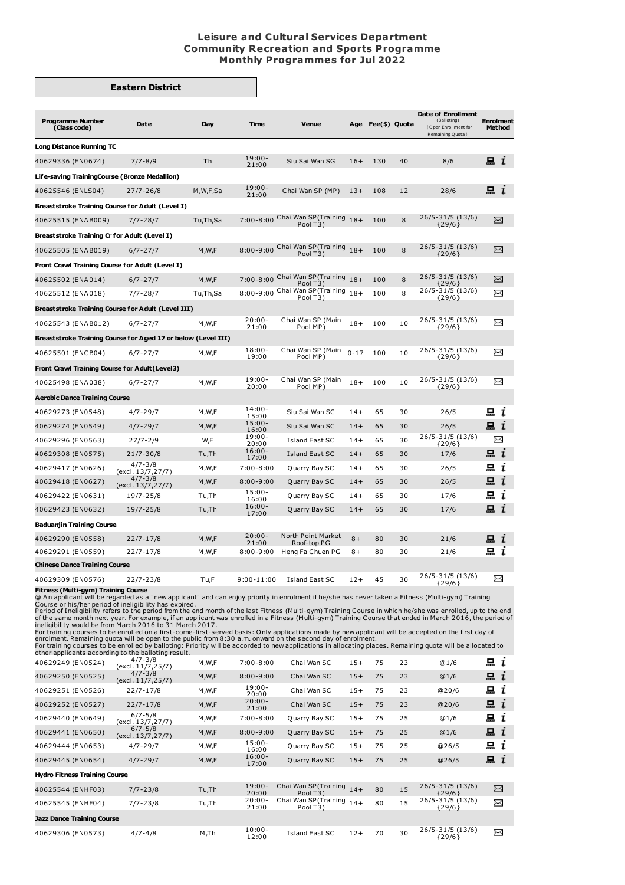## **Leisure and Cultural Services Department Community Recreation and Sports Programme Monthly Programmes for Jul 2022**

## **Eastern District**

| <b>Programme Number</b><br>(Class code)                                                                                                                                                                                                                                                                                                                                                                                                                                                                                                                                                                                                                                                                                                                                                                                                                                                                         | Date                              | Day      | Time                   | <b>Venue</b>                                            |          | Age Fee(\$) Quota |    | Date of Enrollment<br>(Balloting)<br>Open Enrollment for<br>Remaining Quota } | <b>Enrolment</b><br><b>Method</b> |  |
|-----------------------------------------------------------------------------------------------------------------------------------------------------------------------------------------------------------------------------------------------------------------------------------------------------------------------------------------------------------------------------------------------------------------------------------------------------------------------------------------------------------------------------------------------------------------------------------------------------------------------------------------------------------------------------------------------------------------------------------------------------------------------------------------------------------------------------------------------------------------------------------------------------------------|-----------------------------------|----------|------------------------|---------------------------------------------------------|----------|-------------------|----|-------------------------------------------------------------------------------|-----------------------------------|--|
| <b>Long Distance Running TC</b>                                                                                                                                                                                                                                                                                                                                                                                                                                                                                                                                                                                                                                                                                                                                                                                                                                                                                 |                                   |          |                        |                                                         |          |                   |    |                                                                               |                                   |  |
| 40629336 (EN0674)                                                                                                                                                                                                                                                                                                                                                                                                                                                                                                                                                                                                                                                                                                                                                                                                                                                                                               | $7/7 - 8/9$                       | Th       | $19:00 -$<br>21:00     | Siu Sai Wan SG                                          | $16+$    | 130               | 40 | 8/6                                                                           | $\blacksquare$ $i$                |  |
| Life-saving TrainingCourse (Bronze Medallion)                                                                                                                                                                                                                                                                                                                                                                                                                                                                                                                                                                                                                                                                                                                                                                                                                                                                   |                                   |          |                        |                                                         |          |                   |    |                                                                               |                                   |  |
| 40625546 (ENLS04)                                                                                                                                                                                                                                                                                                                                                                                                                                                                                                                                                                                                                                                                                                                                                                                                                                                                                               | $27/7 - 26/8$                     | M,W,F,Sa | $19:00 -$<br>21:00     | Chai Wan SP (MP)                                        | $13+$    | 108               | 12 | 28/6                                                                          | $\mathbf{a}$ i                    |  |
| Breaststroke Training Course for Adult (Level I)                                                                                                                                                                                                                                                                                                                                                                                                                                                                                                                                                                                                                                                                                                                                                                                                                                                                |                                   |          |                        |                                                         |          |                   |    |                                                                               |                                   |  |
| 40625515 (ENAB009)                                                                                                                                                                                                                                                                                                                                                                                                                                                                                                                                                                                                                                                                                                                                                                                                                                                                                              | 7/7-28/7                          | Tu,Th,Sa | $7:00 - 8:00$          | Chai Wan SP (Training $18+$<br>Pool T <sub>3</sub> )    |          | 100               | 8  | 26/5-31/5 (13/6)<br>${29/6}$                                                  | χ                                 |  |
| Breaststroke Training Cr for Adult (Level I)                                                                                                                                                                                                                                                                                                                                                                                                                                                                                                                                                                                                                                                                                                                                                                                                                                                                    |                                   |          |                        |                                                         |          |                   |    |                                                                               |                                   |  |
| 40625505 (ENAB019)                                                                                                                                                                                                                                                                                                                                                                                                                                                                                                                                                                                                                                                                                                                                                                                                                                                                                              | $6/7 - 27/7$                      | M, W, F  |                        | 8:00-9:00 Chai Wan SP (Training $18+$                   |          | 100               | 8  | 26/5-31/5 (13/6)                                                              | X                                 |  |
| Front Crawl Training Course for Adult (Level I)                                                                                                                                                                                                                                                                                                                                                                                                                                                                                                                                                                                                                                                                                                                                                                                                                                                                 |                                   |          |                        | Pool T3)                                                |          |                   |    | ${29/6}$                                                                      |                                   |  |
| 40625502 (ENA014)                                                                                                                                                                                                                                                                                                                                                                                                                                                                                                                                                                                                                                                                                                                                                                                                                                                                                               | $6/7 - 27/7$                      | M, W, F  |                        | 7:00-8:00 Chai Wan SP (Training                         | $18+$    | 100               | 8  | $26/5 - 31/5$ (13/6)                                                          | $\Join$                           |  |
| 40625512 (ENA018)                                                                                                                                                                                                                                                                                                                                                                                                                                                                                                                                                                                                                                                                                                                                                                                                                                                                                               | 7/7-28/7                          | Tu,Th,Sa |                        | Pool T3)<br>8:00-9:00 Chai Wan SP (Training<br>Pool T3) | $18+$    | 100               | 8  | ${29/6}$<br>26/5-31/5 (13/6)                                                  | ≻≺                                |  |
| <b>Breaststroke Training Course for Adult (Level III)</b>                                                                                                                                                                                                                                                                                                                                                                                                                                                                                                                                                                                                                                                                                                                                                                                                                                                       |                                   |          |                        |                                                         |          |                   |    | ${29/6}$                                                                      |                                   |  |
| 40625543 (ENAB012)                                                                                                                                                                                                                                                                                                                                                                                                                                                                                                                                                                                                                                                                                                                                                                                                                                                                                              | $6/7 - 27/7$                      | M,W,F    | $20:00 -$              | Chai Wan SP (Main                                       | $18+$    | 100               | 10 | 26/5-31/5 (13/6)                                                              | $\Join$                           |  |
| Breaststroke Training Course for Aged 17 or below (Level III)                                                                                                                                                                                                                                                                                                                                                                                                                                                                                                                                                                                                                                                                                                                                                                                                                                                   |                                   |          | 21:00                  | Pool MP)                                                |          |                   |    | ${29/6}$                                                                      |                                   |  |
| 40625501 (ENCB04)                                                                                                                                                                                                                                                                                                                                                                                                                                                                                                                                                                                                                                                                                                                                                                                                                                                                                               | $6/7 - 27/7$                      | M,W,F    | $18:00 -$              | Chai Wan SP (Main                                       | $0 - 17$ | 100               | 10 | 26/5-31/5 (13/6)                                                              | ≻≺                                |  |
| Front Crawl Training Course for Adult (Level3)                                                                                                                                                                                                                                                                                                                                                                                                                                                                                                                                                                                                                                                                                                                                                                                                                                                                  |                                   |          | 19:00                  | Pool MP)                                                |          |                   |    | ${29/6}$                                                                      |                                   |  |
| 40625498 (ENA038)                                                                                                                                                                                                                                                                                                                                                                                                                                                                                                                                                                                                                                                                                                                                                                                                                                                                                               | $6/7 - 27/7$                      | M,W,F    | $19:00 -$              | Chai Wan SP (Main                                       | $18+$    | 100               | 10 | 26/5-31/5 (13/6)                                                              | χ                                 |  |
| <b>Aerobic Dance Training Course</b>                                                                                                                                                                                                                                                                                                                                                                                                                                                                                                                                                                                                                                                                                                                                                                                                                                                                            |                                   |          | 20:00                  | Pool MP)                                                |          |                   |    | ${29/6}$                                                                      |                                   |  |
| 40629273 (EN0548)                                                                                                                                                                                                                                                                                                                                                                                                                                                                                                                                                                                                                                                                                                                                                                                                                                                                                               | 4/7-29/7                          | M,W,F    | $14:00 -$              | Siu Sai Wan SC                                          | $14+$    | 65                | 30 | 26/5                                                                          | æι                                |  |
| 40629274 (EN0549)                                                                                                                                                                                                                                                                                                                                                                                                                                                                                                                                                                                                                                                                                                                                                                                                                                                                                               | $4/7 - 29/7$                      | M, W, F  | 15:00<br>$15:00 -$     | Siu Sai Wan SC                                          | $14+$    | 65                | 30 | 26/5                                                                          | $\mathbf{a}$ i                    |  |
| 40629296 (EN0563)                                                                                                                                                                                                                                                                                                                                                                                                                                                                                                                                                                                                                                                                                                                                                                                                                                                                                               | $27/7 - 2/9$                      | W,F      | 16:00<br>$19:00 -$     | Island East SC                                          | $14+$    | 65                | 30 | 26/5-31/5 (13/6)                                                              | χ                                 |  |
| 40629308 (EN0575)                                                                                                                                                                                                                                                                                                                                                                                                                                                                                                                                                                                                                                                                                                                                                                                                                                                                                               | $21/7 - 30/8$                     | Tu,Th    | 20:00<br>$16:00 -$     | Island East SC                                          | $14+$    | 65                | 30 | ${29/6}$<br>17/6                                                              | $\mathbf{a}$ i                    |  |
| 40629417 (EN0626)                                                                                                                                                                                                                                                                                                                                                                                                                                                                                                                                                                                                                                                                                                                                                                                                                                                                                               | $4/7 - 3/8$                       | M,W,F    | 17:00<br>$7:00 - 8:00$ | Quarry Bay SC                                           | $14+$    | 65                | 30 | 26/5                                                                          | ī<br>묘                            |  |
| 40629418 (EN0627)                                                                                                                                                                                                                                                                                                                                                                                                                                                                                                                                                                                                                                                                                                                                                                                                                                                                                               | (excl. 13/7,27/7)<br>$4/7 - 3/8$  | M,W,F    | $8:00 - 9:00$          | Quarry Bay SC                                           | $14+$    | 65                | 30 | 26/5                                                                          | 므<br>$\mathbf{r}$                 |  |
| 40629422 (EN0631)                                                                                                                                                                                                                                                                                                                                                                                                                                                                                                                                                                                                                                                                                                                                                                                                                                                                                               | (excl. 13/7,27/7)<br>19/7-25/8    | Tu,Th    | $15:00 -$<br>16:00     | Quarry Bay SC                                           | $14+$    | 65                | 30 | 17/6                                                                          | 묘<br>ı                            |  |
| 40629423 (EN0632)                                                                                                                                                                                                                                                                                                                                                                                                                                                                                                                                                                                                                                                                                                                                                                                                                                                                                               | 19/7-25/8                         | Tu,Th    | $16:00 -$<br>17:00     | Quarry Bay SC                                           | $14+$    | 65                | 30 | 17/6                                                                          | 品 <i>ι</i>                        |  |
| <b>Baduanjin Training Course</b>                                                                                                                                                                                                                                                                                                                                                                                                                                                                                                                                                                                                                                                                                                                                                                                                                                                                                |                                   |          |                        |                                                         |          |                   |    |                                                                               |                                   |  |
| 40629290 (EN0558)                                                                                                                                                                                                                                                                                                                                                                                                                                                                                                                                                                                                                                                                                                                                                                                                                                                                                               | $22/7 - 17/8$                     | M,W,F    | $20:00 -$              | North Point Market                                      | $8+$     | 80                | 30 | 21/6                                                                          | 묘<br>ı                            |  |
| 40629291 (EN0559)                                                                                                                                                                                                                                                                                                                                                                                                                                                                                                                                                                                                                                                                                                                                                                                                                                                                                               | $22/7 - 17/8$                     | M,W,F    | 21:00<br>$8:00 - 9:00$ | Roof-top PG<br>Heng Fa Chuen PG                         | $8+$     | 80                | 30 | 21/6                                                                          | 묘<br>ı                            |  |
| <b>Chinese Dance Training Course</b>                                                                                                                                                                                                                                                                                                                                                                                                                                                                                                                                                                                                                                                                                                                                                                                                                                                                            |                                   |          |                        |                                                         |          |                   |    |                                                                               |                                   |  |
| 40629309 (EN0576)                                                                                                                                                                                                                                                                                                                                                                                                                                                                                                                                                                                                                                                                                                                                                                                                                                                                                               | $22/7 - 23/8$                     | Tu,F     | $9:00 - 11:00$         | Island East SC                                          | $12+$    | 45                | 30 | 26/5-31/5 (13/6)<br>${29/6}$                                                  | χ                                 |  |
| Fitness (Multi-gym) Training Course<br>@ An applicant will be regarded as a "new applicant" and can enjoy priority in enrolment if he/she has never taken a Fitness (Multi-gym) Training<br>Course or his/her period of ineligibility has expired.<br>Period of Ineligibility refers to the period from the end month of the last Fitness (Multi-gym) Training Course in which he/she was enrolled, up to the end<br>of the same month next year. For example, if an applicant was enrolled in a Fitness (Multi-gym) Training Course that ended in March 2016, the period of<br>ineligibility would be from March 2016 to 31 March 2017.<br>For training courses to be enrolled on a first-come-first-served basis: Only applications made by new applicant will be accepted on the first day of<br>enrolment. Remaining quota will be open to the public from 8:30 a.m. onward on the second day of enrolment. |                                   |          |                        |                                                         |          |                   |    |                                                                               |                                   |  |
| For training courses to be enrolled by balloting: Priority will be accorded to new applications in allocating places. Remaining quota will be allocated to<br>other applicants according to the balloting result.                                                                                                                                                                                                                                                                                                                                                                                                                                                                                                                                                                                                                                                                                               |                                   |          |                        |                                                         |          |                   |    |                                                                               |                                   |  |
| 40629249 (EN0524)                                                                                                                                                                                                                                                                                                                                                                                                                                                                                                                                                                                                                                                                                                                                                                                                                                                                                               | $4/7 - 3/8$<br>(excl. 11/7,25/7)  | M,W,F    | $7:00-8:00$            | Chai Wan SC                                             | $15+$    | 75                | 23 | @1/6                                                                          | 品 <i>ι</i>                        |  |
| 40629250 (EN0525)                                                                                                                                                                                                                                                                                                                                                                                                                                                                                                                                                                                                                                                                                                                                                                                                                                                                                               | $4/7 - 3/8$<br>(excl. 11/7, 25/7) | M,W,F    | $8:00 - 9:00$          | Chai Wan SC                                             | $15+$    | 75                | 23 | @1/6                                                                          | 묘<br>$\mathbf{r}$                 |  |
| 40629251 (EN0526)                                                                                                                                                                                                                                                                                                                                                                                                                                                                                                                                                                                                                                                                                                                                                                                                                                                                                               | $22/7 - 17/8$                     | M,W,F    | $19:00 -$<br>20:00     | Chai Wan SC                                             | $15+$    | 75                | 23 | @20/6                                                                         | 묘<br>ī                            |  |
| 40629252 (EN0527)                                                                                                                                                                                                                                                                                                                                                                                                                                                                                                                                                                                                                                                                                                                                                                                                                                                                                               | $22/7 - 17/8$                     | M, W, F  | $20:00 -$<br>21:00     | Chai Wan SC                                             | $15+$    | 75                | 23 | @20/6                                                                         | $\mathbf{a}$ i                    |  |
| 40629440 (EN0649)                                                                                                                                                                                                                                                                                                                                                                                                                                                                                                                                                                                                                                                                                                                                                                                                                                                                                               | $6/7 - 5/8$<br>(excl. 13/7,27/7)  | M,W,F    | $7:00 - 8:00$          | Quarry Bay SC                                           | $15+$    | 75                | 25 | @1/6                                                                          | 묘<br>ı                            |  |
| 40629441 (EN0650)                                                                                                                                                                                                                                                                                                                                                                                                                                                                                                                                                                                                                                                                                                                                                                                                                                                                                               | $6/7 - 5/8$<br>(excl. 13/7,27/7)  | M, W, F  | $8:00 - 9:00$          | Quarry Bay SC                                           | $15+$    | 75                | 25 | @1/6                                                                          | 묘<br>ı                            |  |
| 40629444 (EN0653)                                                                                                                                                                                                                                                                                                                                                                                                                                                                                                                                                                                                                                                                                                                                                                                                                                                                                               | $4/7 - 29/7$                      | M,W,F    | $15:00 -$<br>16:00     | Quarry Bay SC                                           | $15+$    | 75                | 25 | @26/5                                                                         | 묘<br>ı                            |  |
| 40629445 (EN0654)                                                                                                                                                                                                                                                                                                                                                                                                                                                                                                                                                                                                                                                                                                                                                                                                                                                                                               | $4/7 - 29/7$                      | M,W,F    | $16:00 -$<br>17:00     | Quarry Bay SC                                           | $15+$    | 75                | 25 | @26/5                                                                         | $\Xi$ i                           |  |
| <b>Hydro Fitness Training Course</b>                                                                                                                                                                                                                                                                                                                                                                                                                                                                                                                                                                                                                                                                                                                                                                                                                                                                            |                                   |          |                        |                                                         |          |                   |    |                                                                               |                                   |  |
| 40625544 (ENHF03)                                                                                                                                                                                                                                                                                                                                                                                                                                                                                                                                                                                                                                                                                                                                                                                                                                                                                               | $7/7 - 23/8$                      | Tu,Th    | $19:00 -$<br>20:00     | Chai Wan SP (Training $14+$<br>Pool T3)                 |          | 80                | 15 | 26/5-31/5 (13/6)<br>${29/6}$                                                  | X                                 |  |
| 40625545 (ENHF04)                                                                                                                                                                                                                                                                                                                                                                                                                                                                                                                                                                                                                                                                                                                                                                                                                                                                                               | $7/7 - 23/8$                      | Tu,Th    | $20:00 -$<br>21:00     | Chai Wan SP (Training 14+<br>Pool T3)                   |          | 80                | 15 | 26/5-31/5 (13/6)<br>${29/6}$                                                  | X                                 |  |
| <b>Jazz Dance Training Course</b>                                                                                                                                                                                                                                                                                                                                                                                                                                                                                                                                                                                                                                                                                                                                                                                                                                                                               |                                   |          |                        |                                                         |          |                   |    |                                                                               |                                   |  |

**Jazz Dance Training Course** 10:00-<br>12:00 40629306 (EN0573) 4/7-4/8 M,Th 10:00- Island East SC 12+ 70 30 26/5-31/5 (13/6) {29/6}X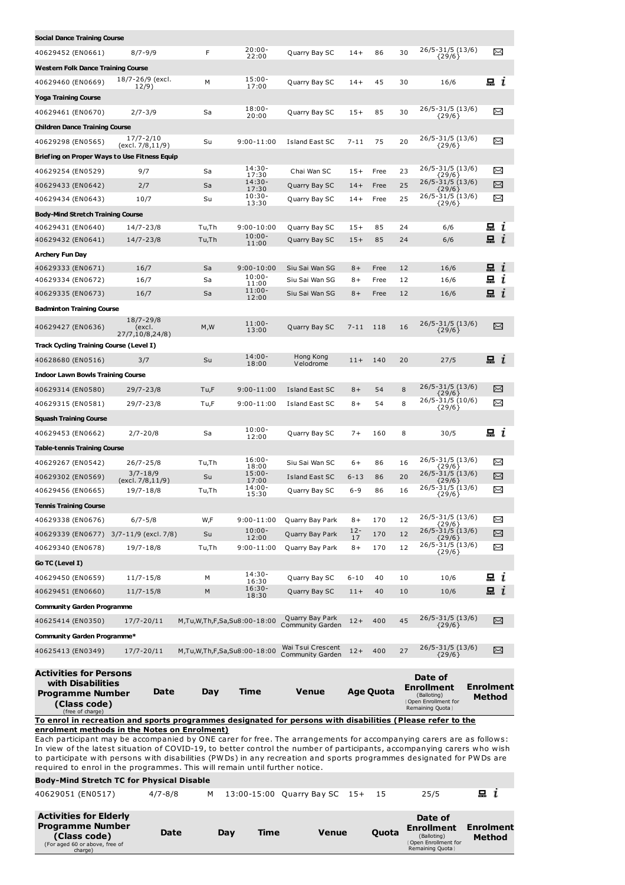| Social Dance Training Course                                                                                                                                                                                                                   |                                |          |                             |                                  |            |                  |                                                                 |          |                          |  |
|------------------------------------------------------------------------------------------------------------------------------------------------------------------------------------------------------------------------------------------------|--------------------------------|----------|-----------------------------|----------------------------------|------------|------------------|-----------------------------------------------------------------|----------|--------------------------|--|
| 40629452 (EN0661)                                                                                                                                                                                                                              | $8/7 - 9/9$                    | F        | $20:00 -$                   | Quarry Bay SC                    | $14+$      | 86               | 26/5-31/5 (13/6)<br>30                                          |          | X                        |  |
| <b>Western Folk Dance Training Course</b>                                                                                                                                                                                                      |                                |          | 22:00                       |                                  |            |                  | ${29/6}$                                                        |          |                          |  |
| 40629460 (EN0669)                                                                                                                                                                                                                              | 18/7-26/9 (excl.               | М        | $15:00 -$                   | Quarry Bay SC                    | $14+$      | 45               | 30<br>16/6                                                      |          | $\Xi$ i                  |  |
|                                                                                                                                                                                                                                                | 12/9)                          |          | 17:00                       |                                  |            |                  |                                                                 |          |                          |  |
| <b>Yoga Training Course</b>                                                                                                                                                                                                                    |                                |          | $18:00 -$                   |                                  |            |                  | 26/5-31/5 (13/6)                                                |          | X                        |  |
| 40629461 (EN0670)                                                                                                                                                                                                                              | $2/7 - 3/9$                    | Sa       | 20:00                       | Quarry Bay SC                    | $15+$      | 85               | 30<br>$\{29/6\}$                                                |          |                          |  |
| <b>Children Dance Training Course</b>                                                                                                                                                                                                          | 17/7-2/10                      |          |                             |                                  |            |                  | 26/5-31/5 (13/6)                                                |          |                          |  |
| 40629298 (EN0565)                                                                                                                                                                                                                              | (excl. 7/8,11/9)               | Su       | $9:00 - 11:00$              | Island East SC                   | $7 - 11$   | 75               | 20<br>${29/6}$                                                  |          | X                        |  |
| Briefing on Proper Ways to Use Fitness Equip<br>$14:30-$<br>26/5-31/5 (13/6)                                                                                                                                                                   |                                |          |                             |                                  |            |                  |                                                                 |          |                          |  |
| 40629254 (EN0529)                                                                                                                                                                                                                              | 9/7                            | Sa       | 17:30                       | Chai Wan SC                      | $15+$      | Free             | 23<br>{29/6}                                                    |          | X                        |  |
| 40629433 (EN0642)                                                                                                                                                                                                                              | 2/7                            | Sa       | 14:30-<br>17:30<br>$10:30-$ | Quarry Bay SC                    | $14+$      | Free             | $26/5 - 31/5$ (13/6)<br>25<br>${29/6}$                          |          | X                        |  |
| 40629434 (EN0643)                                                                                                                                                                                                                              | 10/7                           | Su       | 13:30                       | Quarry Bay SC                    | $14+$      | Free             | 26/5-31/5 (13/6)<br>25<br>${29/6}$                              |          | X                        |  |
| <b>Body-Mind Stretch Training Course</b>                                                                                                                                                                                                       |                                |          |                             |                                  |            |                  |                                                                 |          |                          |  |
| 40629431 (EN0640)                                                                                                                                                                                                                              | 14/7-23/8                      | Tu,Th    | $9:00 - 10:00$<br>$10:00 -$ | Quarry Bay SC                    | $15+$      | 85               | 24<br>6/6                                                       |          | 묘<br>ı                   |  |
| 40629432 (EN0641)                                                                                                                                                                                                                              | 14/7-23/8                      | Tu,Th    | 11:00                       | Quarry Bay SC                    | $15+$      | 85               | 24<br>6/6                                                       |          | 묘<br>$\mathbf{I}$        |  |
| Archery Fun Day                                                                                                                                                                                                                                |                                |          |                             |                                  |            |                  |                                                                 |          |                          |  |
| 40629333 (EN0671)<br>40629334 (EN0672)                                                                                                                                                                                                         | 16/7<br>16/7                   | Sa<br>Sa | $9:00 - 10:00$<br>$10:00 -$ | Siu Sai Wan SG<br>Siu Sai Wan SG | $8+$<br>8+ | Free<br>Free     | 12<br>16/6<br>12<br>16/6                                        |          | $\mathbf{a}$ i<br>묘<br>i |  |
| 40629335 (EN0673)                                                                                                                                                                                                                              | 16/7                           | Sa       | 11:00<br>$11:00 -$          | Siu Sai Wan SG                   | $8+$       | Free             | 12<br>16/6                                                      |          | 묘<br>$\mathbf{r}$        |  |
|                                                                                                                                                                                                                                                |                                |          | 12:00                       |                                  |            |                  |                                                                 |          |                          |  |
| <b>Badminton Training Course</b>                                                                                                                                                                                                               | 18/7-29/8                      |          |                             |                                  |            |                  |                                                                 |          |                          |  |
| 40629427 (EN0636)                                                                                                                                                                                                                              | (excl.<br>27/7,10/8,24/8)      | M, W     | $11:00 -$<br>13:00          | Quarry Bay SC                    | $7 - 11$   | 118              | 26/5-31/5 (13/6)<br>16<br>${29/6}$                              |          | X                        |  |
| Track Cycling Training Course (Level I)                                                                                                                                                                                                        |                                |          |                             |                                  |            |                  |                                                                 |          |                          |  |
| 40628680 (EN0516)                                                                                                                                                                                                                              | 3/7                            | Su       | $14:00 -$<br>18:00          | Hong Kong<br>V elodrome          | $11+$      | 140              | 20<br>27/5                                                      |          | i                        |  |
| <b>Indoor Lawn Bowls Training Course</b>                                                                                                                                                                                                       |                                |          |                             |                                  |            |                  |                                                                 |          |                          |  |
| 40629314 (EN0580)                                                                                                                                                                                                                              | 29/7-23/8                      | Tu,F     | $9:00 - 11:00$              | Island East SC                   | $8+$       | 54               | $26/5 - 31/5$ (13/6)<br>8<br>${29/6}$                           |          | X                        |  |
| 40629315 (EN0581)                                                                                                                                                                                                                              | 29/7-23/8                      | Tu,F     | $9:00 - 11:00$              | Island East SC                   | $8+$       | 54               | 26/5-31/5 (10/6)<br>8<br>${29/6}$                               |          | X                        |  |
| <b>Squash Training Course</b>                                                                                                                                                                                                                  |                                |          |                             |                                  |            |                  |                                                                 |          |                          |  |
| 40629453 (EN0662)                                                                                                                                                                                                                              | $2/7 - 20/8$                   | Sa       | $10:00 -$                   | Quarry Bay SC                    | $7+$       | 160              | 8<br>30/5                                                       |          | $\Xi$ i                  |  |
| Table-tennis Training Course                                                                                                                                                                                                                   |                                |          | 12:00                       |                                  |            |                  |                                                                 |          |                          |  |
| 40629267 (EN0542)                                                                                                                                                                                                                              | 26/7-25/8                      | Tu,Th    | $16:00 -$                   | Siu Sai Wan SC                   | 6+         | 86               | 26/5-31/5 (13/6)<br>16                                          |          | $\scriptstyle\asymp$     |  |
| 40629302 (EN0569)                                                                                                                                                                                                                              | $3/7 - 18/9$                   | Su       | 18:00<br>$15:00 -$          | Island East SC                   | $6 - 13$   | 86               | ${29/6}$<br>$26/5 - 31/5$ (13/6)<br>20                          |          | X                        |  |
| 40629456 (EN0665)                                                                                                                                                                                                                              | (excl. 7/8, 11/9)<br>19/7-18/8 | Tu,Th    | 17:00<br>$14:00 -$          | Quarry Bay SC                    | $6 - 9$    | 86               | ${29/6}$<br>26/5-31/5 (13/6)<br>16                              |          | X                        |  |
| <b>Tennis Training Course</b>                                                                                                                                                                                                                  |                                |          | 15:30                       |                                  |            |                  | ${29/6}$                                                        |          |                          |  |
| 40629338 (EN0676)                                                                                                                                                                                                                              | $6/7 - 5/8$                    | W,F      | $9:00 - 11:00$              | Quarry Bay Park                  | $8+$       | 170              | 26/5-31/5 (13/6)<br>12                                          |          | $\Join$                  |  |
| 40629339 (EN0677) 3/7-11/9 (excl. 7/8)                                                                                                                                                                                                         |                                | Su       | $10:00 -$                   | Quarry Bay Park                  | $12 -$     | 170              | ${29/6}$<br>26/5-31/5 (13/6)<br>12                              |          | $\Join$                  |  |
| 40629340 (EN0678)                                                                                                                                                                                                                              | 19/7-18/8                      | Tu,Th    | 12:00<br>$9:00 - 11:00$     | Quarry Bay Park                  | 17<br>$8+$ | 170              | 26/5-31/5 (13/6)<br>12                                          | ${29/6}$ | X                        |  |
| Go TC (Level I)                                                                                                                                                                                                                                |                                |          |                             |                                  |            |                  | ${29/6}$                                                        |          |                          |  |
| 40629450 (EN0659)                                                                                                                                                                                                                              | $11/7 - 15/8$                  | М        | $14:30-$                    | Quarry Bay SC                    | $6 - 10$   | 40               | 10<br>10/6                                                      |          | $\Box$ $\iota$           |  |
| 40629451 (EN0660)                                                                                                                                                                                                                              | $11/7 - 15/8$                  | M        | 16:30<br>$16:30-$           | Quarry Bay SC                    | $11+$      | 40               | 10/6<br>10                                                      |          | 묘<br>$\mathbf{r}$        |  |
| <b>Community Garden Programme</b>                                                                                                                                                                                                              |                                |          | 18:30                       |                                  |            |                  |                                                                 |          |                          |  |
| 40625414 (EN0350)                                                                                                                                                                                                                              |                                |          | M,Tu,W,Th,F,Sa,Su8:00-18:00 | Quarry Bay Park                  | $12+$      | 400              | 26/5-31/5 (13/6)<br>45                                          |          | X                        |  |
|                                                                                                                                                                                                                                                | $17/7 - 20/11$                 |          |                             | Community Garden                 |            |                  | ${29/6}$                                                        |          |                          |  |
| Community Garden Programme*                                                                                                                                                                                                                    |                                |          |                             | Wai Tsui Crescent                |            |                  | 26/5-31/5 (13/6)                                                |          |                          |  |
| 40625413 (EN0349)                                                                                                                                                                                                                              | $17/7 - 20/11$                 |          | M,Tu,W,Th,F,Sa,Su8:00-18:00 | Community Garden                 | $12+$      | 400              | 27<br>${29/6}$                                                  |          | X                        |  |
| <b>Activities for Persons</b>                                                                                                                                                                                                                  |                                |          |                             |                                  |            |                  | Date of                                                         |          |                          |  |
| with Disabilities                                                                                                                                                                                                                              | Date                           | Day      | Time                        | <b>Venue</b>                     |            | <b>Age Quota</b> | Enrollment                                                      |          | <b>Enrolment</b>         |  |
| <b>Programme Number</b><br>(Class code)                                                                                                                                                                                                        |                                |          |                             |                                  |            |                  | (Balloting)<br><b>Open Enrollment for</b>                       |          | Method                   |  |
| (free of charge)                                                                                                                                                                                                                               |                                |          |                             |                                  |            |                  | Remaining Quota }                                               |          |                          |  |
| To enrol in recreation and sports programmes designated for persons with disabilities (Please refer to the<br>enrolment methods in the Notes on Enrolment)                                                                                     |                                |          |                             |                                  |            |                  |                                                                 |          |                          |  |
| Each participant may be accompanied by ONE carer for free. The arrangements for accompanying carers are as follows:<br>In view of the latest situation of COVID-19, to better control the number of participants, accompanying carers who wish |                                |          |                             |                                  |            |                  |                                                                 |          |                          |  |
| to participate with persons with disabilities (PWDs) in any recreation and sports programmes designated for PWDs are                                                                                                                           |                                |          |                             |                                  |            |                  |                                                                 |          |                          |  |
| required to enrol in the programmes. This will remain until further notice.                                                                                                                                                                    |                                |          |                             |                                  |            |                  |                                                                 |          |                          |  |
| <b>Body-Mind Stretch TC for Physical Disable</b>                                                                                                                                                                                               |                                |          |                             |                                  |            |                  |                                                                 |          |                          |  |
| 40629051 (EN0517)                                                                                                                                                                                                                              | $4/7 - 8/8$                    | м        |                             | 13:00-15:00 Quarry Bay SC        | $15+$      | 15               | 25/5                                                            |          | 묘 <i>ι</i>               |  |
| <b>Activities for Elderly</b>                                                                                                                                                                                                                  |                                |          |                             |                                  |            |                  | Date of                                                         |          |                          |  |
| <b>Programme Number</b>                                                                                                                                                                                                                        | Date                           |          | Time<br>Day                 | <b>Venue</b>                     |            | Quota            | <b>Enrollment</b>                                               |          | Enrolment                |  |
| (Class code)<br>(For aged 60 or above, free of<br>charge)                                                                                                                                                                                      |                                |          |                             |                                  |            |                  | (Balloting)<br><b>{Open Enrollment for</b><br>Remaining Quota } |          | Method                   |  |